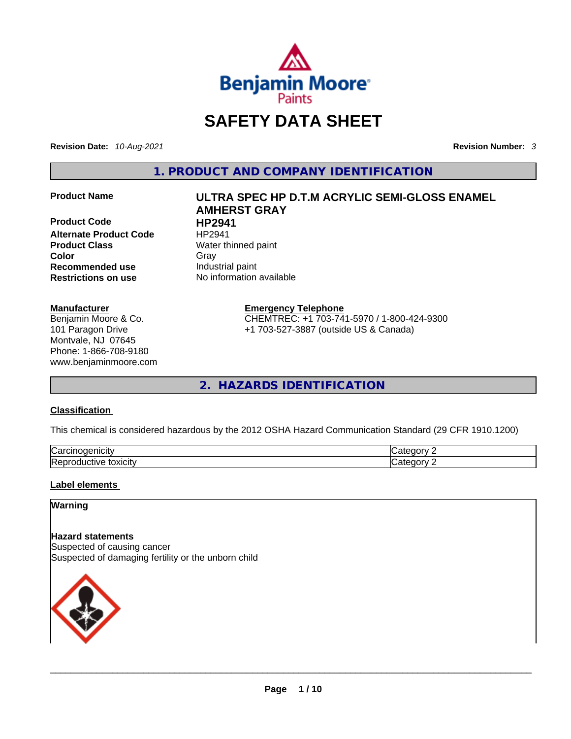

## **SAFETY DATA SHEET**

**Revision Date:** *10-Aug-2021* **Revision Number:** *3*

**1. PRODUCT AND COMPANY IDENTIFICATION** 

**Product Code HP2941 Alternate Product Code HP2941 Product Class Water thinned paint Recommended use Industrial paint**<br> **Restrictions on use No information** 

#### **Manufacturer**

Benjamin Moore & Co. 101 Paragon Drive Montvale, NJ 07645 Phone: 1-866-708-9180 www.benjaminmoore.com

## **Product Name ULTRA SPEC HP D.T.M ACRYLIC SEMI-GLOSS ENAMEL AMHERST GRAY Color** Gray Gray

**No information available** 

#### **Emergency Telephone**

CHEMTREC: +1 703-741-5970 / 1-800-424-9300 +1 703-527-3887 (outside US & Canada)

**2. HAZARDS IDENTIFICATION** 

#### **Classification**

This chemical is considered hazardous by the 2012 OSHA Hazard Communication Standard (29 CFR 1910.1200)

| lСа                                     |  |
|-----------------------------------------|--|
| Re <sub>l</sub><br>----<br><b>XICIF</b> |  |

#### **Label elements**

#### **Warning**

**Hazard statements** Suspected of causing cancer Suspected of damaging fertility or the unborn child

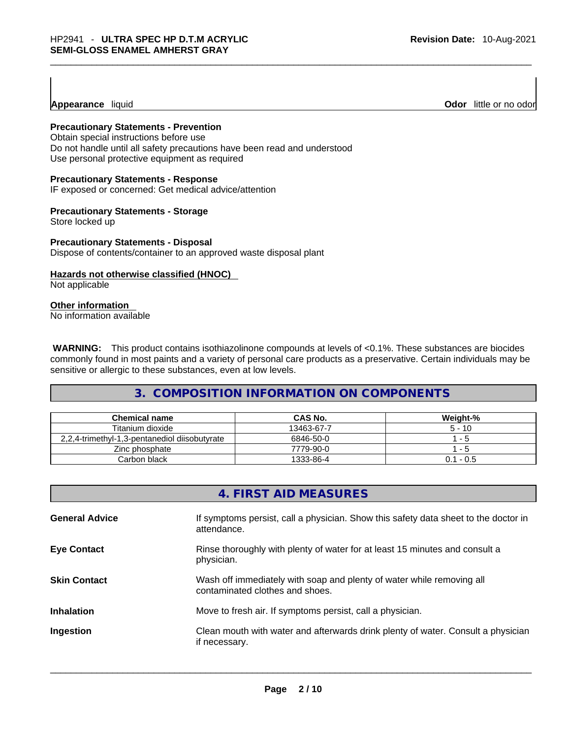**Appearance** liquid

**Odor** little or no odor

#### **Precautionary Statements - Prevention**

Obtain special instructions before use Do not handle until all safety precautions have been read and understood Use personal protective equipment as required

#### **Precautionary Statements - Response**

IF exposed or concerned: Get medical advice/attention

#### **Precautionary Statements - Storage**

Store locked up

#### **Precautionary Statements - Disposal**

Dispose of contents/container to an approved waste disposal plant

#### **Hazards not otherwise classified (HNOC)**

Not applicable

#### **Other information**

No information available

 **WARNING:** This product contains isothiazolinone compounds at levels of <0.1%. These substances are biocides commonly found in most paints and a variety of personal care products as a preservative. Certain individuals may be sensitive or allergic to these substances, even at low levels.

#### **3. COMPOSITION INFORMATION ON COMPONENTS**

| <b>Chemical name</b>                          | CAS No.    | Weight-%    |
|-----------------------------------------------|------------|-------------|
| Titanium dioxide                              | 13463-67-7 | $5 - 10$    |
| 2,2,4-trimethyl-1,3-pentanediol diisobutyrate | 6846-50-0  | - 5         |
| Zinc phosphate                                | 7779-90-0  | - 5         |
| Carbon black                                  | 1333-86-4  | $0.1 - 0.5$ |

|                       | 4. FIRST AID MEASURES                                                                                    |
|-----------------------|----------------------------------------------------------------------------------------------------------|
| <b>General Advice</b> | If symptoms persist, call a physician. Show this safety data sheet to the doctor in<br>attendance.       |
| <b>Eye Contact</b>    | Rinse thoroughly with plenty of water for at least 15 minutes and consult a<br>physician.                |
| <b>Skin Contact</b>   | Wash off immediately with soap and plenty of water while removing all<br>contaminated clothes and shoes. |
| <b>Inhalation</b>     | Move to fresh air. If symptoms persist, call a physician.                                                |
| Ingestion             | Clean mouth with water and afterwards drink plenty of water. Consult a physician<br>if necessary.        |
|                       |                                                                                                          |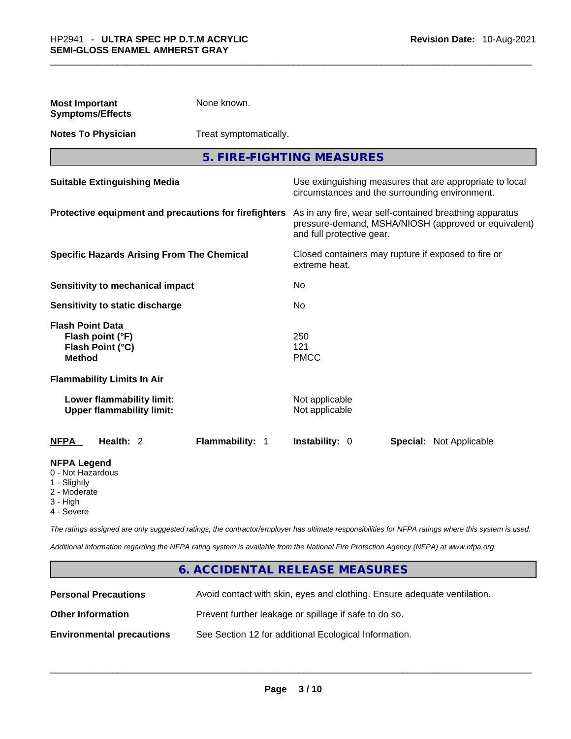| <b>Most Important</b><br><b>Symptoms/Effects</b>                                    |                                                               | None known.                                                                                                                                  |                                                     |                                                                                                            |
|-------------------------------------------------------------------------------------|---------------------------------------------------------------|----------------------------------------------------------------------------------------------------------------------------------------------|-----------------------------------------------------|------------------------------------------------------------------------------------------------------------|
| <b>Notes To Physician</b>                                                           |                                                               | Treat symptomatically.                                                                                                                       |                                                     |                                                                                                            |
|                                                                                     |                                                               |                                                                                                                                              | 5. FIRE-FIGHTING MEASURES                           |                                                                                                            |
|                                                                                     | <b>Suitable Extinguishing Media</b>                           |                                                                                                                                              |                                                     | Use extinguishing measures that are appropriate to local<br>circumstances and the surrounding environment. |
| Protective equipment and precautions for firefighters                               |                                                               | As in any fire, wear self-contained breathing apparatus<br>pressure-demand, MSHA/NIOSH (approved or equivalent)<br>and full protective gear. |                                                     |                                                                                                            |
| <b>Specific Hazards Arising From The Chemical</b>                                   |                                                               | extreme heat.                                                                                                                                | Closed containers may rupture if exposed to fire or |                                                                                                            |
|                                                                                     | <b>Sensitivity to mechanical impact</b>                       |                                                                                                                                              | No                                                  |                                                                                                            |
|                                                                                     | Sensitivity to static discharge                               |                                                                                                                                              | No                                                  |                                                                                                            |
| <b>Flash Point Data</b><br>Flash point (°F)<br>Flash Point (°C)<br><b>Method</b>    |                                                               |                                                                                                                                              | 250<br>121<br><b>PMCC</b>                           |                                                                                                            |
| <b>Flammability Limits In Air</b>                                                   |                                                               |                                                                                                                                              |                                                     |                                                                                                            |
|                                                                                     | Lower flammability limit:<br><b>Upper flammability limit:</b> |                                                                                                                                              | Not applicable<br>Not applicable                    |                                                                                                            |
| <b>NFPA</b>                                                                         | Health: 2                                                     | Flammability: 1                                                                                                                              | <b>Instability: 0</b>                               | <b>Special: Not Applicable</b>                                                                             |
| <b>NFPA Legend</b><br>0 - Not Hazardous<br>1 - Slightly<br>2 - Moderate<br>3 - High |                                                               |                                                                                                                                              |                                                     |                                                                                                            |

4 - Severe

*The ratings assigned are only suggested ratings, the contractor/employer has ultimate responsibilities for NFPA ratings where this system is used.* 

*Additional information regarding the NFPA rating system is available from the National Fire Protection Agency (NFPA) at www.nfpa.org.* 

#### **6. ACCIDENTAL RELEASE MEASURES**

| <b>Personal Precautions</b>      | Avoid contact with skin, eyes and clothing. Ensure adequate ventilation. |
|----------------------------------|--------------------------------------------------------------------------|
| <b>Other Information</b>         | Prevent further leakage or spillage if safe to do so.                    |
| <b>Environmental precautions</b> | See Section 12 for additional Ecological Information.                    |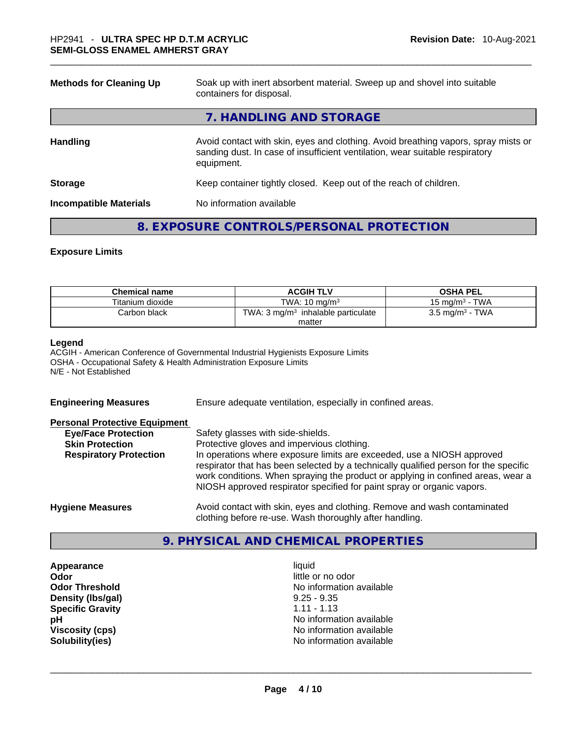| <b>Methods for Cleaning Up</b> | Soak up with inert absorbent material. Sweep up and shovel into suitable<br>containers for disposal.                                                                             |  |
|--------------------------------|----------------------------------------------------------------------------------------------------------------------------------------------------------------------------------|--|
|                                | 7. HANDLING AND STORAGE                                                                                                                                                          |  |
| <b>Handling</b>                | Avoid contact with skin, eyes and clothing. Avoid breathing vapors, spray mists or<br>sanding dust. In case of insufficient ventilation, wear suitable respiratory<br>equipment. |  |
| <b>Storage</b>                 | Keep container tightly closed. Keep out of the reach of children.                                                                                                                |  |
| <b>Incompatible Materials</b>  | No information available                                                                                                                                                         |  |
|                                |                                                                                                                                                                                  |  |

#### **8. EXPOSURE CONTROLS/PERSONAL PROTECTION**

#### **Exposure Limits**

| <b>Chemical name</b> | <b>ACGIH TLV</b>                               | <b>OSHA PEL</b>            |
|----------------------|------------------------------------------------|----------------------------|
| Titanium dioxide     | TWA: $10 \text{ ma/m}^3$                       | 15 mg/m $3$ - TWA          |
| Carbon black         | TWA: 3 mg/m <sup>3</sup> inhalable particulate | $3.5 \text{ mg/m}^3$ - TWA |
|                      | matter                                         |                            |

#### **Legend**

ACGIH - American Conference of Governmental Industrial Hygienists Exposure Limits OSHA - Occupational Safety & Health Administration Exposure Limits N/E - Not Established

**Engineering Measures** Ensure adequate ventilation, especially in confined areas.

#### **Personal Protective Equipment**

| <b>Eye/Face Protection</b>    | Safety glasses with side-shields.                                                    |
|-------------------------------|--------------------------------------------------------------------------------------|
| <b>Skin Protection</b>        | Protective gloves and impervious clothing.                                           |
| <b>Respiratory Protection</b> | In operations where exposure limits are exceeded, use a NIOSH approved               |
|                               | respirator that has been selected by a technically qualified person for the specific |
|                               | work conditions. When spraying the product or applying in confined areas, wear a     |
|                               | NIOSH approved respirator specified for paint spray or organic vapors.               |
|                               |                                                                                      |
| Hyniana Maseurae              | Avoid contact with skin, aves and clothing. Remove and wash contaminated             |

**Hygiene Measures** Avoid contact with skin, eyes and clothing. Remove and wash contaminated clothing before re-use. Wash thoroughly after handling.

#### **9. PHYSICAL AND CHEMICAL PROPERTIES**

**Appearance** liquid **Odor Odor Odor Odor Odor** *little* **or no odor Density (lbs/gal)** 9.25 - 9.35 **Specific Gravity** 1.11 - 1.13

**Odor Threshold No information available No information available pH** No information available **Viscosity (cps) Viscosity (cps) No information available Solubility(ies)** No information available \_\_\_\_\_\_\_\_\_\_\_\_\_\_\_\_\_\_\_\_\_\_\_\_\_\_\_\_\_\_\_\_\_\_\_\_\_\_\_\_\_\_\_\_\_\_\_\_\_\_\_\_\_\_\_\_\_\_\_\_\_\_\_\_\_\_\_\_\_\_\_\_\_\_\_\_\_\_\_\_\_\_\_\_\_\_\_\_\_\_\_\_\_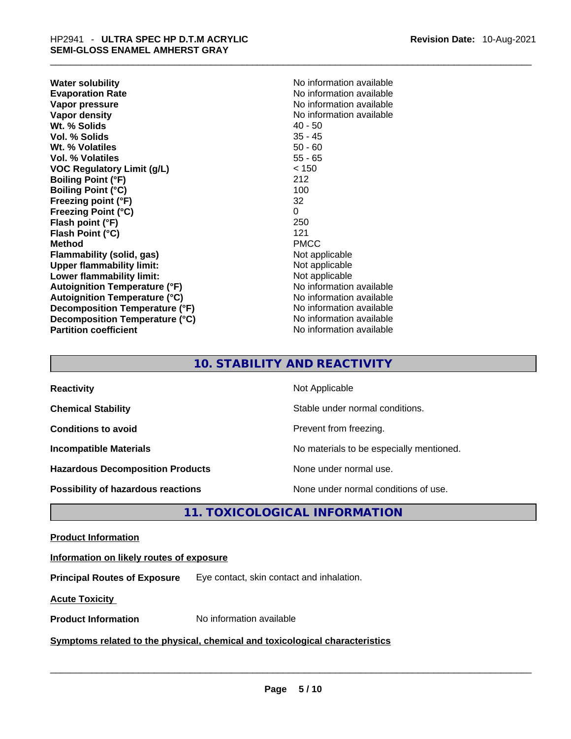| No information available<br>No information available<br>No information available<br>$40 - 50$<br>$35 - 45$<br>$50 - 60$<br>$55 - 65$<br>< 150<br>212<br>100<br>32<br>0<br>250<br>121<br><b>PMCC</b><br>Not applicable<br>Not applicable<br>Not applicable<br>No information available<br>No information available<br>No information available<br>Decomposition Temperature (°C)<br>No information available<br>No information available | <b>Water solubility</b>              | No information available |
|-----------------------------------------------------------------------------------------------------------------------------------------------------------------------------------------------------------------------------------------------------------------------------------------------------------------------------------------------------------------------------------------------------------------------------------------|--------------------------------------|--------------------------|
|                                                                                                                                                                                                                                                                                                                                                                                                                                         | <b>Evaporation Rate</b>              |                          |
|                                                                                                                                                                                                                                                                                                                                                                                                                                         | Vapor pressure                       |                          |
|                                                                                                                                                                                                                                                                                                                                                                                                                                         | Vapor density                        |                          |
|                                                                                                                                                                                                                                                                                                                                                                                                                                         | Wt. % Solids                         |                          |
|                                                                                                                                                                                                                                                                                                                                                                                                                                         | Vol. % Solids                        |                          |
|                                                                                                                                                                                                                                                                                                                                                                                                                                         | Wt. % Volatiles                      |                          |
|                                                                                                                                                                                                                                                                                                                                                                                                                                         | <b>Vol. % Volatiles</b>              |                          |
|                                                                                                                                                                                                                                                                                                                                                                                                                                         | <b>VOC Regulatory Limit (g/L)</b>    |                          |
|                                                                                                                                                                                                                                                                                                                                                                                                                                         | <b>Boiling Point (°F)</b>            |                          |
|                                                                                                                                                                                                                                                                                                                                                                                                                                         | <b>Boiling Point (°C)</b>            |                          |
|                                                                                                                                                                                                                                                                                                                                                                                                                                         | Freezing point (°F)                  |                          |
|                                                                                                                                                                                                                                                                                                                                                                                                                                         | <b>Freezing Point (°C)</b>           |                          |
|                                                                                                                                                                                                                                                                                                                                                                                                                                         | Flash point (°F)                     |                          |
|                                                                                                                                                                                                                                                                                                                                                                                                                                         | Flash Point (°C)                     |                          |
|                                                                                                                                                                                                                                                                                                                                                                                                                                         | <b>Method</b>                        |                          |
|                                                                                                                                                                                                                                                                                                                                                                                                                                         | Flammability (solid, gas)            |                          |
|                                                                                                                                                                                                                                                                                                                                                                                                                                         | <b>Upper flammability limit:</b>     |                          |
|                                                                                                                                                                                                                                                                                                                                                                                                                                         | Lower flammability limit:            |                          |
|                                                                                                                                                                                                                                                                                                                                                                                                                                         | <b>Autoignition Temperature (°F)</b> |                          |
|                                                                                                                                                                                                                                                                                                                                                                                                                                         | <b>Autoignition Temperature (°C)</b> |                          |
|                                                                                                                                                                                                                                                                                                                                                                                                                                         | Decomposition Temperature (°F)       |                          |
|                                                                                                                                                                                                                                                                                                                                                                                                                                         |                                      |                          |
|                                                                                                                                                                                                                                                                                                                                                                                                                                         | <b>Partition coefficient</b>         |                          |

#### **10. STABILITY AND REACTIVITY**

| <b>Reactivity</b>                         | Not Applicable                           |
|-------------------------------------------|------------------------------------------|
| <b>Chemical Stability</b>                 | Stable under normal conditions.          |
| <b>Conditions to avoid</b>                | Prevent from freezing.                   |
| <b>Incompatible Materials</b>             | No materials to be especially mentioned. |
| <b>Hazardous Decomposition Products</b>   | None under normal use.                   |
| <b>Possibility of hazardous reactions</b> | None under normal conditions of use.     |

### **11. TOXICOLOGICAL INFORMATION**

#### **Product Information**

#### **Information on likely routes of exposure**

**Principal Routes of Exposure** Eye contact, skin contact and inhalation.

**Acute Toxicity** 

# **Product Information** No information available \_\_\_\_\_\_\_\_\_\_\_\_\_\_\_\_\_\_\_\_\_\_\_\_\_\_\_\_\_\_\_\_\_\_\_\_\_\_\_\_\_\_\_\_\_\_\_\_\_\_\_\_\_\_\_\_\_\_\_\_\_\_\_\_\_\_\_\_\_\_\_\_\_\_\_\_\_\_\_\_\_\_\_\_\_\_\_\_\_\_\_\_\_ **Symptoms related** to the physical, chemical and toxicological characteristics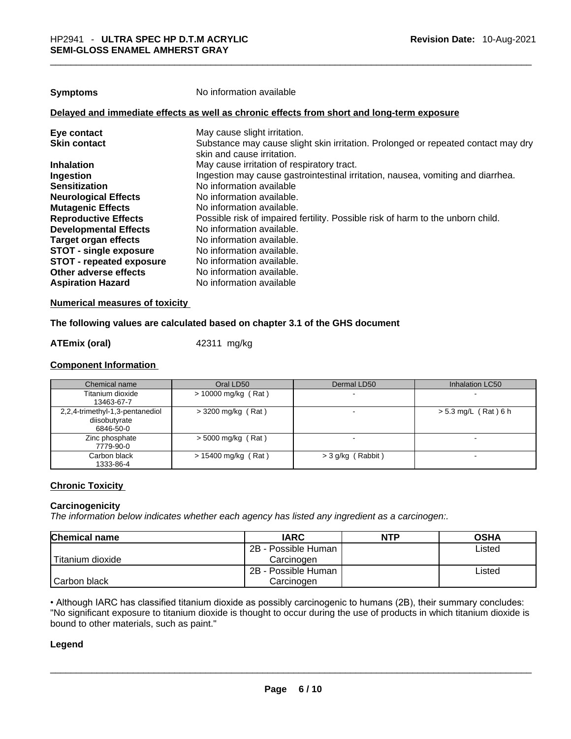**Symptoms** No information available

#### **Delayed and immediate effects as well as chronic effects from short and long-term exposure**

| Eye contact                     | May cause slight irritation.                                                      |
|---------------------------------|-----------------------------------------------------------------------------------|
| <b>Skin contact</b>             | Substance may cause slight skin irritation. Prolonged or repeated contact may dry |
|                                 | skin and cause irritation.                                                        |
| <b>Inhalation</b>               | May cause irritation of respiratory tract.                                        |
| Ingestion                       | Ingestion may cause gastrointestinal irritation, nausea, vomiting and diarrhea.   |
| <b>Sensitization</b>            | No information available                                                          |
| <b>Neurological Effects</b>     | No information available.                                                         |
| <b>Mutagenic Effects</b>        | No information available.                                                         |
| <b>Reproductive Effects</b>     | Possible risk of impaired fertility. Possible risk of harm to the unborn child.   |
| <b>Developmental Effects</b>    | No information available.                                                         |
| <b>Target organ effects</b>     | No information available.                                                         |
| <b>STOT - single exposure</b>   | No information available.                                                         |
| <b>STOT - repeated exposure</b> | No information available.                                                         |
| Other adverse effects           | No information available.                                                         |
| <b>Aspiration Hazard</b>        | No information available                                                          |
|                                 |                                                                                   |

#### **Numerical measures of toxicity**

#### **The following values are calculated based on chapter 3.1 of the GHS document**

#### **ATEmix (oral)** 42311 mg/kg

#### **Component Information**

| Chemical name                                                 | Oral LD50             | Dermal LD50         | Inhalation LC50          |
|---------------------------------------------------------------|-----------------------|---------------------|--------------------------|
| Titanium dioxide<br>13463-67-7                                | $> 10000$ mg/kg (Rat) |                     | $\sim$                   |
| 2,2,4-trimethyl-1,3-pentanediol<br>diisobutyrate<br>6846-50-0 | $>$ 3200 mg/kg (Rat)  |                     | $> 5.3$ mg/L (Rat) 6 h   |
| Zinc phosphate<br>7779-90-0                                   | $>$ 5000 mg/kg (Rat)  |                     | $\overline{\phantom{0}}$ |
| Carbon black<br>1333-86-4                                     | $> 15400$ mg/kg (Rat) | $>$ 3 g/kg (Rabbit) | $\sim$                   |

#### **Chronic Toxicity**

#### **Carcinogenicity**

*The information below indicates whether each agency has listed any ingredient as a carcinogen:.* 

| <b>Chemical name</b> | <b>IARC</b>         | <b>NTP</b> | <b>OSHA</b> |
|----------------------|---------------------|------------|-------------|
|                      | 2B - Possible Human |            | ∟isted      |
| l Titanium dioxide   | Carcinogen          |            |             |
|                      | 2B - Possible Human |            | ∟isted      |
| l Carbon black       | Carcinogen          |            |             |

• Although IARC has classified titanium dioxide as possibly carcinogenic to humans (2B), their summary concludes: "No significant exposure to titanium dioxide is thought to occur during the use of products in which titanium dioxide is bound to other materials, such as paint." \_\_\_\_\_\_\_\_\_\_\_\_\_\_\_\_\_\_\_\_\_\_\_\_\_\_\_\_\_\_\_\_\_\_\_\_\_\_\_\_\_\_\_\_\_\_\_\_\_\_\_\_\_\_\_\_\_\_\_\_\_\_\_\_\_\_\_\_\_\_\_\_\_\_\_\_\_\_\_\_\_\_\_\_\_\_\_\_\_\_\_\_\_

#### **Legend**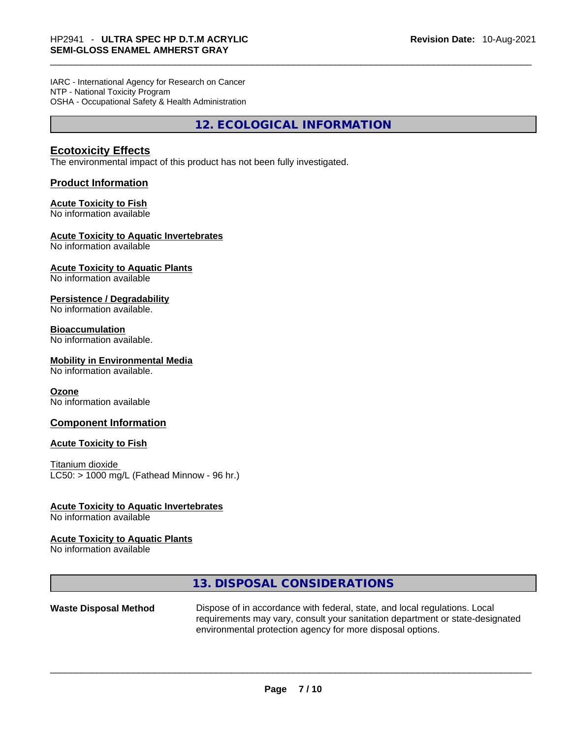IARC - International Agency for Research on Cancer NTP - National Toxicity Program OSHA - Occupational Safety & Health Administration

**12. ECOLOGICAL INFORMATION** 

#### **Ecotoxicity Effects**

The environmental impact of this product has not been fully investigated.

#### **Product Information**

#### **Acute Toxicity to Fish**

No information available

#### **Acute Toxicity to Aquatic Invertebrates**

No information available

### **Acute Toxicity to Aquatic Plants**

No information available

#### **Persistence / Degradability**

No information available.

#### **Bioaccumulation**

No information available.

#### **Mobility in Environmental Media**

No information available.

#### **Ozone**

No information available

#### **Component Information**

#### **Acute Toxicity to Fish**

Titanium dioxide  $LC50:$  > 1000 mg/L (Fathead Minnow - 96 hr.)

#### **Acute Toxicity to Aquatic Invertebrates**

No information available

#### **Acute Toxicity to Aquatic Plants**

No information available

**13. DISPOSAL CONSIDERATIONS** 

**Waste Disposal Method** Dispose of in accordance with federal, state, and local regulations. Local requirements may vary, consult your sanitation department or state-designated environmental protection agency for more disposal options. \_\_\_\_\_\_\_\_\_\_\_\_\_\_\_\_\_\_\_\_\_\_\_\_\_\_\_\_\_\_\_\_\_\_\_\_\_\_\_\_\_\_\_\_\_\_\_\_\_\_\_\_\_\_\_\_\_\_\_\_\_\_\_\_\_\_\_\_\_\_\_\_\_\_\_\_\_\_\_\_\_\_\_\_\_\_\_\_\_\_\_\_\_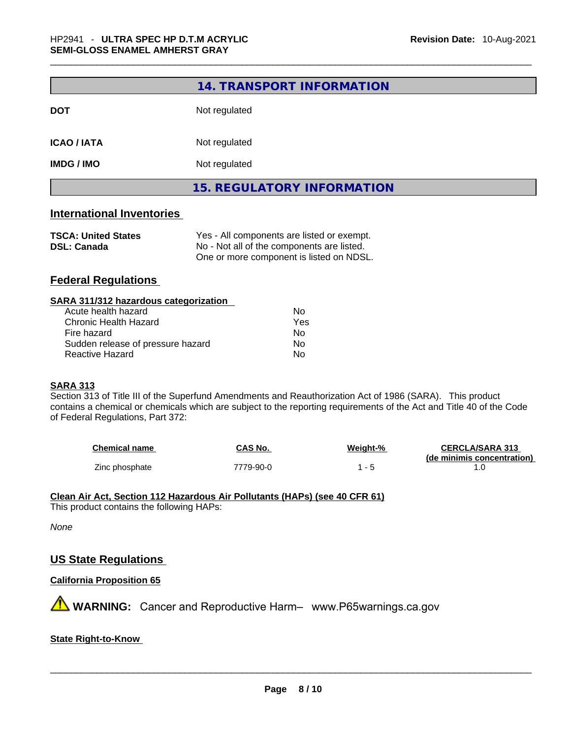|                    | <b>15. REGULATORY INFORMATION</b> |  |
|--------------------|-----------------------------------|--|
| <b>IMDG / IMO</b>  | Not regulated                     |  |
| <b>ICAO / IATA</b> | Not regulated                     |  |
| <b>DOT</b>         | Not regulated                     |  |
|                    | 14. TRANSPORT INFORMATION         |  |

#### **International Inventories**

| <b>TSCA: United States</b> | Yes - All components are listed or exempt. |
|----------------------------|--------------------------------------------|
| <b>DSL: Canada</b>         | No - Not all of the components are listed. |
|                            | One or more component is listed on NDSL.   |

#### **Federal Regulations**

| SARA 311/312 hazardous categorization |     |  |
|---------------------------------------|-----|--|
| Acute health hazard                   | Nο  |  |
| Chronic Health Hazard                 | Yes |  |
| Fire hazard                           | No  |  |
| Sudden release of pressure hazard     | No  |  |
| Reactive Hazard                       | No  |  |
|                                       |     |  |

#### **SARA 313**

Section 313 of Title III of the Superfund Amendments and Reauthorization Act of 1986 (SARA). This product contains a chemical or chemicals which are subject to the reporting requirements of the Act and Title 40 of the Code of Federal Regulations, Part 372:

| <b>Chemical name</b> | CAS No.   | Weight-% | <b>CERCLA/SARA 313</b>     |
|----------------------|-----------|----------|----------------------------|
|                      |           |          | (de minimis concentration) |
| Zinc phosphate       | 7779-90-0 |          |                            |

#### **Clean Air Act,Section 112 Hazardous Air Pollutants (HAPs) (see 40 CFR 61)**

This product contains the following HAPs:

*None*

#### **US State Regulations**

#### **California Proposition 65**

**A** WARNING: Cancer and Reproductive Harm– www.P65warnings.ca.gov

#### **State Right-to-Know**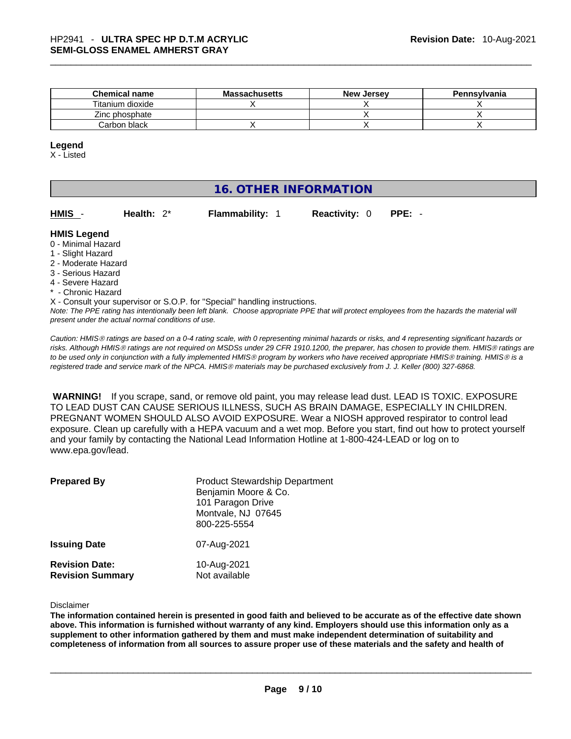| <b>Chemical name</b> | <b>Massachusetts</b> | <b>New Jersey</b> | <b>Pennsylvania</b> |
|----------------------|----------------------|-------------------|---------------------|
| Titanium dioxide     |                      |                   |                     |
| Zinc phosphate       |                      |                   |                     |
| Carbon black         |                      |                   |                     |

#### **Legend**

X - Listed

#### **16. OTHER INFORMATION**

**HMIS** - **Health:** 2\* **Flammability:** 1 **Reactivity:** 0 **PPE:** - **HMIS Legend** 0 - Minimal Hazard 1 - Slight Hazard 2 - Moderate Hazard 3 - Serious Hazard

- 4 Severe Hazard
- \* Chronic Hazard

X - Consult your supervisor or S.O.P. for "Special" handling instructions.

Note: The PPE rating has intentionally been left blank. Choose appropriate PPE that will protect employees from the hazards the material will *present under the actual normal conditions of use.* 

*Caution: HMISÒ ratings are based on a 0-4 rating scale, with 0 representing minimal hazards or risks, and 4 representing significant hazards or risks. Although HMISÒ ratings are not required on MSDSs under 29 CFR 1910.1200, the preparer, has chosen to provide them. HMISÒ ratings are to be used only in conjunction with a fully implemented HMISÒ program by workers who have received appropriate HMISÒ training. HMISÒ is a registered trade and service mark of the NPCA. HMISÒ materials may be purchased exclusively from J. J. Keller (800) 327-6868.* 

 **WARNING!** If you scrape, sand, or remove old paint, you may release lead dust. LEAD IS TOXIC. EXPOSURE TO LEAD DUST CAN CAUSE SERIOUS ILLNESS, SUCH AS BRAIN DAMAGE, ESPECIALLY IN CHILDREN. PREGNANT WOMEN SHOULD ALSO AVOID EXPOSURE.Wear a NIOSH approved respirator to control lead exposure. Clean up carefully with a HEPA vacuum and a wet mop. Before you start, find out how to protect yourself and your family by contacting the National Lead Information Hotline at 1-800-424-LEAD or log on to www.epa.gov/lead.

| <b>Prepared By</b>                               | <b>Product Stewardship Department</b><br>Benjamin Moore & Co.<br>101 Paragon Drive<br>Montvale, NJ 07645<br>800-225-5554 |
|--------------------------------------------------|--------------------------------------------------------------------------------------------------------------------------|
| <b>Issuing Date</b>                              | 07-Aug-2021                                                                                                              |
| <b>Revision Date:</b><br><b>Revision Summary</b> | 10-Aug-2021<br>Not available                                                                                             |

Disclaimer

The information contained herein is presented in good faith and believed to be accurate as of the effective date shown above. This information is furnished without warranty of any kind. Employers should use this information only as a **supplement to other information gathered by them and must make independent determination of suitability and** completeness of information from all sources to assure proper use of these materials and the safety and health of